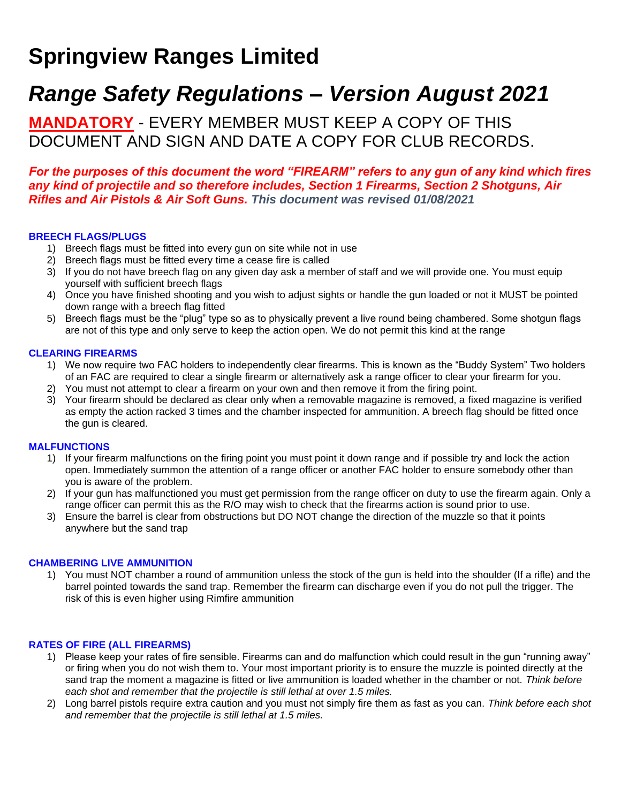# **Springview Ranges Limited**

## *Range Safety Regulations – Version August 2021*

**MANDATORY** - EVERY MEMBER MUST KEEP A COPY OF THIS DOCUMENT AND SIGN AND DATE A COPY FOR CLUB RECORDS.

## *For the purposes of this document the word "FIREARM" refers to any gun of any kind which fires any kind of projectile and so therefore includes, Section 1 Firearms, Section 2 Shotguns, Air Rifles and Air Pistols & Air Soft Guns. This document was revised 01/08/2021*

## **BREECH FLAGS/PLUGS**

- 1) Breech flags must be fitted into every gun on site while not in use
- 2) Breech flags must be fitted every time a cease fire is called
- 3) If you do not have breech flag on any given day ask a member of staff and we will provide one. You must equip yourself with sufficient breech flags
- 4) Once you have finished shooting and you wish to adjust sights or handle the gun loaded or not it MUST be pointed down range with a breech flag fitted
- 5) Breech flags must be the "plug" type so as to physically prevent a live round being chambered. Some shotgun flags are not of this type and only serve to keep the action open. We do not permit this kind at the range

## **CLEARING FIREARMS**

- 1) We now require two FAC holders to independently clear firearms. This is known as the "Buddy System" Two holders of an FAC are required to clear a single firearm or alternatively ask a range officer to clear your firearm for you.
- 2) You must not attempt to clear a firearm on your own and then remove it from the firing point.
- 3) Your firearm should be declared as clear only when a removable magazine is removed, a fixed magazine is verified as empty the action racked 3 times and the chamber inspected for ammunition. A breech flag should be fitted once the gun is cleared.

#### **MALFUNCTIONS**

- 1) If your firearm malfunctions on the firing point you must point it down range and if possible try and lock the action open. Immediately summon the attention of a range officer or another FAC holder to ensure somebody other than you is aware of the problem.
- 2) If your gun has malfunctioned you must get permission from the range officer on duty to use the firearm again. Only a range officer can permit this as the R/O may wish to check that the firearms action is sound prior to use.
- 3) Ensure the barrel is clear from obstructions but DO NOT change the direction of the muzzle so that it points anywhere but the sand trap

#### **CHAMBERING LIVE AMMUNITION**

1) You must NOT chamber a round of ammunition unless the stock of the gun is held into the shoulder (If a rifle) and the barrel pointed towards the sand trap. Remember the firearm can discharge even if you do not pull the trigger. The risk of this is even higher using Rimfire ammunition

#### **RATES OF FIRE (ALL FIREARMS)**

- 1) Please keep your rates of fire sensible. Firearms can and do malfunction which could result in the gun "running away" or firing when you do not wish them to. Your most important priority is to ensure the muzzle is pointed directly at the sand trap the moment a magazine is fitted or live ammunition is loaded whether in the chamber or not. *Think before each shot and remember that the projectile is still lethal at over 1.5 miles.*
- 2) Long barrel pistols require extra caution and you must not simply fire them as fast as you can. *Think before each shot and remember that the projectile is still lethal at 1.5 miles.*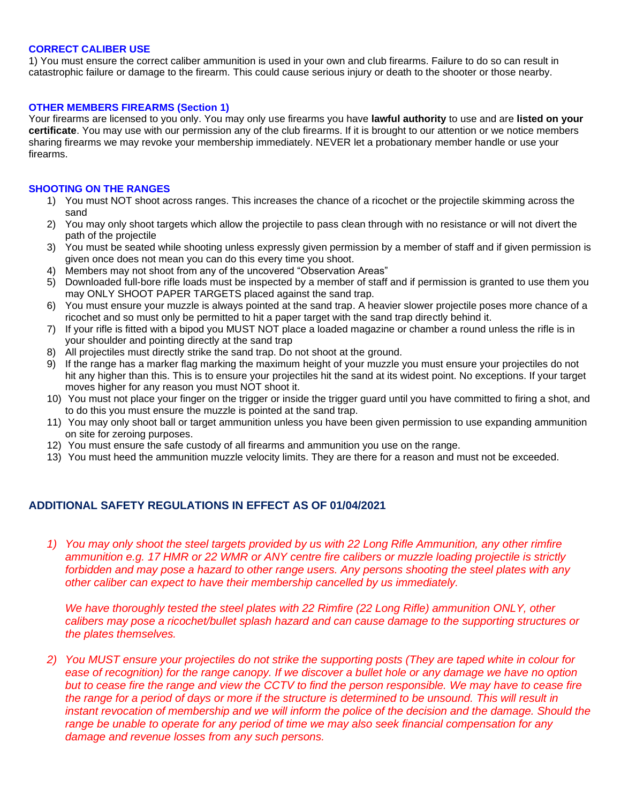#### **CORRECT CALIBER USE**

1) You must ensure the correct caliber ammunition is used in your own and club firearms. Failure to do so can result in catastrophic failure or damage to the firearm. This could cause serious injury or death to the shooter or those nearby.

#### **OTHER MEMBERS FIREARMS (Section 1)**

Your firearms are licensed to you only. You may only use firearms you have **lawful authority** to use and are **listed on your certificate**. You may use with our permission any of the club firearms. If it is brought to our attention or we notice members sharing firearms we may revoke your membership immediately. NEVER let a probationary member handle or use your firearms.

#### **SHOOTING ON THE RANGES**

- 1) You must NOT shoot across ranges. This increases the chance of a ricochet or the projectile skimming across the sand
- 2) You may only shoot targets which allow the projectile to pass clean through with no resistance or will not divert the path of the projectile
- 3) You must be seated while shooting unless expressly given permission by a member of staff and if given permission is given once does not mean you can do this every time you shoot.
- 4) Members may not shoot from any of the uncovered "Observation Areas"
- 5) Downloaded full-bore rifle loads must be inspected by a member of staff and if permission is granted to use them you may ONLY SHOOT PAPER TARGETS placed against the sand trap.
- 6) You must ensure your muzzle is always pointed at the sand trap. A heavier slower projectile poses more chance of a ricochet and so must only be permitted to hit a paper target with the sand trap directly behind it.
- 7) If your rifle is fitted with a bipod you MUST NOT place a loaded magazine or chamber a round unless the rifle is in your shoulder and pointing directly at the sand trap
- 8) All projectiles must directly strike the sand trap. Do not shoot at the ground.
- 9) If the range has a marker flag marking the maximum height of your muzzle you must ensure your projectiles do not hit any higher than this. This is to ensure your projectiles hit the sand at its widest point. No exceptions. If your target moves higher for any reason you must NOT shoot it.
- 10) You must not place your finger on the trigger or inside the trigger guard until you have committed to firing a shot, and to do this you must ensure the muzzle is pointed at the sand trap.
- 11) You may only shoot ball or target ammunition unless you have been given permission to use expanding ammunition on site for zeroing purposes.
- 12) You must ensure the safe custody of all firearms and ammunition you use on the range.
- 13) You must heed the ammunition muzzle velocity limits. They are there for a reason and must not be exceeded.

## **ADDITIONAL SAFETY REGULATIONS IN EFFECT AS OF 01/04/2021**

*1) You may only shoot the steel targets provided by us with 22 Long Rifle Ammunition, any other rimfire ammunition e.g. 17 HMR or 22 WMR or ANY centre fire calibers or muzzle loading projectile is strictly forbidden and may pose a hazard to other range users. Any persons shooting the steel plates with any other caliber can expect to have their membership cancelled by us immediately.*

*We have thoroughly tested the steel plates with 22 Rimfire (22 Long Rifle) ammunition ONLY, other calibers may pose a ricochet/bullet splash hazard and can cause damage to the supporting structures or the plates themselves.*

*2) You MUST ensure your projectiles do not strike the supporting posts (They are taped white in colour for ease of recognition) for the range canopy. If we discover a bullet hole or any damage we have no option but to cease fire the range and view the CCTV to find the person responsible. We may have to cease fire the range for a period of days or more if the structure is determined to be unsound. This will result in instant revocation of membership and we will inform the police of the decision and the damage. Should the range be unable to operate for any period of time we may also seek financial compensation for any damage and revenue losses from any such persons.*